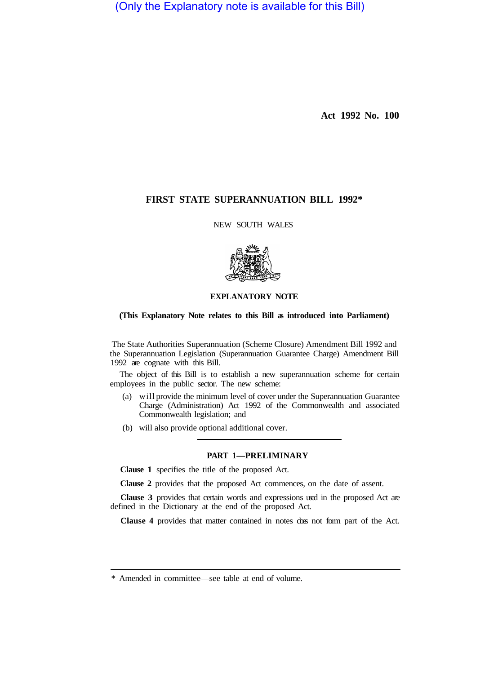(Only the Explanatory note is available for this Bill)

**Act 1992 No. 100** 

# **FIRST STATE SUPERANNUATION BILL 1992\***

NEW SOUTH WALES



# **EXPLANATORY NOTE**

## **(This Explanatory Note relates to this Bill as introduced into Parliament)**

The State Authorities Superannuation (Scheme Closure) Amendment Bill 1992 and the Superannuation Legislation (Superannuation Guarantee Charge) Amendment Bill 1992 are cognate with this Bill.

The object of this Bill is to establish a new superannuation scheme for certain employees in the public sector. The new scheme:

- (a) will provide the minimum level of cover under the Superannuation Guarantee Charge (Administration) Act 1992 of the Commonwealth and associated Commonwealth legislation; and
- (b) will also provide optional additional cover.

## **PART 1—PRELIMINARY**

**Clause 1** specifies the title of the proposed Act.

**Clause 2** provides that the proposed Act commences, on the date of assent.

**Clause 3** provides that certain words and expressions used in the proposed Act are defined in the Dictionary at the end of the proposed Act.

**Clause 4** provides that matter contained in notes does not form part of the Act.

<sup>\*</sup> Amended in committee—see table at end of volume.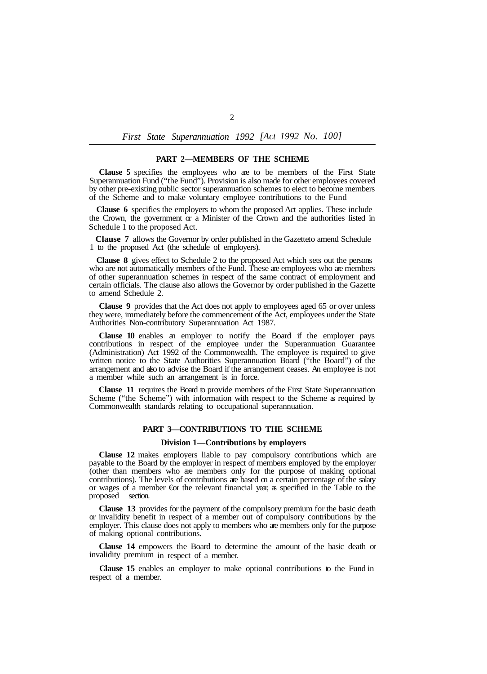### **PART 2—MEMBERS OF THE SCHEME**

**Clause 5** specifies the employees who are to be members of the First State Superannuation Fund ("the Fund"). Provision is also made for other employees covered by other pre-existing public sector superannuation schemes to elect to become members of the Scheme and to make voluntary employee contributions to the Fund

**Clause 6** specifies the employers to whom the proposed Act applies. These include the Crown, the government  $\alpha$  a Minister of the Crown and the authorities listed in Schedule 1 to the proposed Act.

**Clause 7** allows the Governor by order published in the Gazetteto amend Schedule 1 to the proposed Act (the schedule of employers).

**Clause 8** gives effect to Schedule 2 to the proposed Act which sets out the persons who are not automatically members of the Fund. These are employees who are members of other superannuation schemes in respect of the same contract of employment and certain officials. The clause also allows the Governor by order published in the Gazette to amend Schedule 2.

**Clause 9** provides that the Act does not apply to employees aged 65 or over unless they were, immediately before the commencement of the Act, employees under the State Authorities Non-contributory Superannuation Act 1987.

**Clause 10** enables an employer to notify the Board if the employer pays contributions in respect of the employee under the Superannuation Guarantee (Administration) Act 1992 of the Commonwealth. The employee is required to give written notice to the State Authorities Superannuation Board ("the Board") of the arrangement and also to advise the Board if the arrangement ceases. An employee is not a member while such an arrangement is in force.

**Clause 11** requires the Board to provide members of the First State Superannuation Scheme ("the Scheme") with information with respect to the Scheme as required by Commonwealth standards relating to occupational superannuation.

### **PART 3—CONTRIBUTIONS TO THE SCHEME**

## **Division 1—Contributions by employers**

**Clause 12** makes employers liable to pay compulsory contributions which are payable to the Board by the employer in respect of members employed by the employer (other than members who are members only for the purpose of making optional contributions). The levels of contributions are based on a certain percentage of the salary or wages of a member €or the relevant financial year, as specified in the Table to the proposed section.

**Clause 13** provides for the payment of the compulsory premium for the basic death or invalidity benefit in respect of a member out of compulsory contributions by the employer. This clause does not apply to members who are members only for the purpose of making optional contributions.

**Clause 14** empowers the Board to determine the amount of the basic death or invalidity premium in respect of a member.

**Clause 15** enables an employer to make optional contributions to the Fund in respect of a member.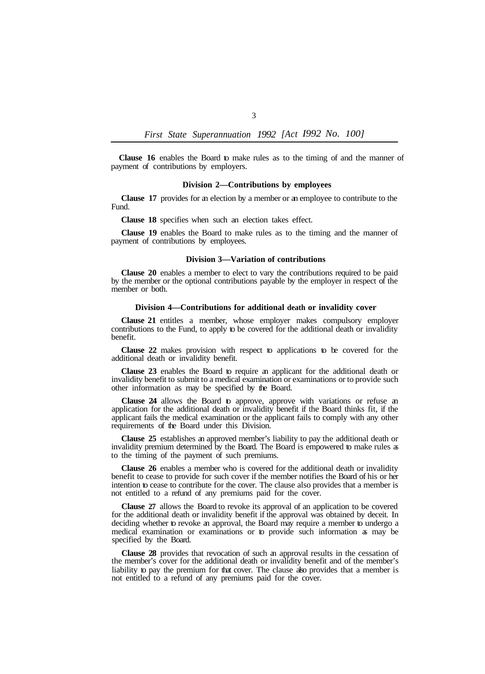**Clause 16** enables the Board to make rules as to the timing of and the manner of payment of contributions by employers.

### **Division 2—Contributions by employees**

**Clause 17** provides for an election by a member or an employee to contribute to the Fund.

**Clause 18** specifies when such an election takes effect.

**Clause 19** enables the Board to make rules as to the timing and the manner of payment of contributions by employees.

### **Division 3—Variation of contributions**

**Clause 20** enables a member to elect to vary the contributions required to be paid by the member or the optional contributions payable by the employer in respect of the member or both.

## **Division 4—Contributions for additional death or invalidity cover**

**Clause 21** entitles a member, whose employer makes compulsory employer contributions to the Fund, to apply to be covered for the additional death or invalidity benefit.

**Clause 22** makes provision with respect to applications to be covered for the additional death or invalidity benefit.

**Clause 23** enables the Board to require an applicant for the additional death or invalidity benefit to submit to a medical examination or examinations or to provide such other information as may be specified by the Board.

**Clause 24** allows the Board to approve, approve with variations or refuse an application for the additional death or invalidity benefit if the Board thinks fit, if the applicant fails the medical examination or the applicant fails to comply with any other requirements of the Board under this Division.

**Clause 25** establishes an approved member's liability to pay the additional death or invalidity premium determined by the Board. The Board is empowered to make rules as to the timing of the payment of such premiums.

**Clause 26** enables a member who is covered for the additional death or invalidity benefit to cease to provide for such cover if the member notifies the Board of his or her intention to cease to contribute for the cover. The clause also provides that a member is not entitled to a refund of any premiums paid for the cover.

**Clause 27** allows the Board to revoke its approval of an application to be covered for the additional death or invalidity benefit if the approval was obtained by deceit. In deciding whether to revoke an approval, the Board may require a member to undergo a medical examination or examinations or to provide such information as may be specified by the Board.

**Clause 28** provides that revocation of such an approval results in the cessation of the member's cover for the additional death or invalidity benefit and of the member's liability to pay the premium for that cover. The clause also provides that a member is not entitled to a refund of any premiums paid for the cover.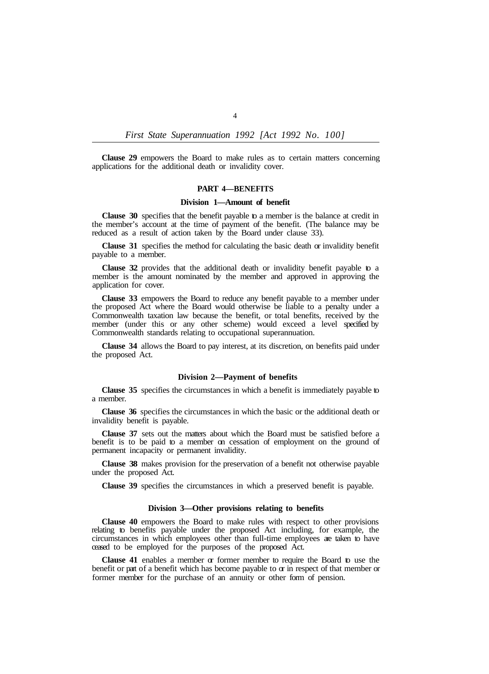**Clause 29** empowers the Board to make rules as to certain matters concerning applications for the additional death or invalidity cover.

### **PART 4—BENEFITS**

#### **Division 1—Amount of benefit**

**Clause 30** specifies that the benefit payable to a member is the balance at credit in the member's account at the time of payment of the benefit. (The balance may be reduced as a result of action taken by the Board under clause 33).

**Clause 31** specifies the method for calculating the basic death or invalidity benefit payable to a member.

**Clause 32** provides that the additional death or invalidity benefit payable to a member is the amount nominated by the member and approved in approving the application for cover.

**Clause 33** empowers the Board to reduce any benefit payable to a member under the proposed Act where the Board would otherwise be liable to a penalty under a Commonwealth taxation law because the benefit, or total benefits, received by the member (under this or any other scheme) would exceed a level specified by Commonwealth standards relating to occupational superannuation.

the proposed Act. **Clause 34** allows the Board to pay interest, at its discretion, on benefits paid under

### **Division 2—Payment of benefits**

**Clause 35** specifies the circumstances in which a benefit is immediately payable to a member.

**Clause 36** specifies the circumstances in which the basic or the additional death or invalidity benefit is payable.

**Clause 37** sets out the matters about which the Board must be satisfied before a benefit is to be paid to a member on cessation of employment on the ground of permanent incapacity or permanent invalidity.

**Clause 38** makes provision for the preservation of a benefit not otherwise payable under the proposed Act.

**Clause 39** specifies the circumstances in which a preserved benefit is payable.

## **Division 3—Other provisions relating to benefits**

**Clause 40** empowers the Board to make rules with respect to other provisions relating to benefits payable under the proposed Act including, for example, the circumstances in which employees other than full-time employees are taken to have ceased to be employed for the purposes of the proposed Act.

**Clause 41** enables a member or former member to require the Board to use the benefit or part of a benefit which has become payable to or in respect of that member or former member for the purchase of an annuity or other form of pension.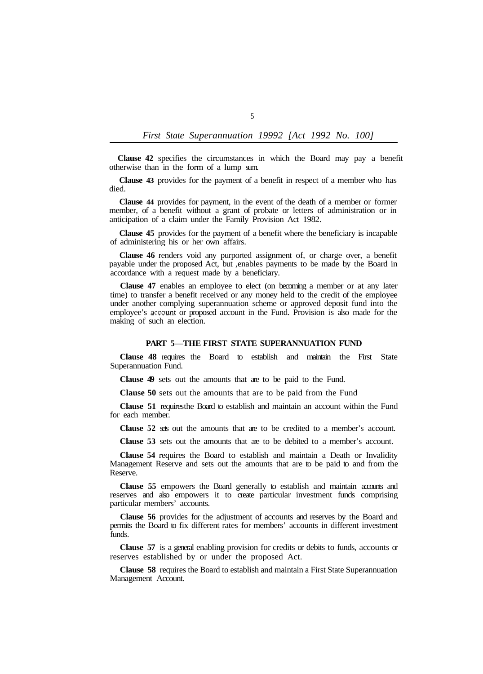**Clause 42** specifies the circumstances in which the Board may pay a benefit otherwise than in the form of a lump sum.

**Clause 43** provides for the payment of a benefit in respect of a member who has died.

**Clause 44** provides for payment, in the event of the death of a member or former member, of a benefit without a grant of probate or letters of administration or in anticipation of a claim under the Family Provision Act 1982.

**Clause 45** provides for the payment of a benefit where the beneficiary is incapable of administering his or her own affairs.

**Clause 46** renders void any purported assignment of, or charge over, a benefit payable under the proposed Act, but ,enables payments to be made by the Board in accordance with a request made by a beneficiary.

**Clause 47** enables an employee to elect (on becoming a member or at any later time) to transfer a benefit received or any money held to the credit of the employee under another complying superannuation scheme or approved deposit fund into the employee's account or proposed account in the Fund. Provision is also made for the making of such an election.

## **PART 5—THE FIRST STATE SUPERANNUATION FUND**

**Clause 48** requires the Board to establish and maintain the First State Superannuation Fund.

**Clause 49** sets out the amounts that are to be paid to the Fund.

**Clause 50** sets out the amounts that are to be paid from the Fund

**Clause 51** requires the Board to establish and maintain an account within the Fund for each member.

**Clause 52** sets out the amounts that are to be credited to a member's account.

**Clause 53** sets out the amounts that are to be debited to a member's account.

**Clause 54** requires the Board to establish and maintain a Death or Invalidity Management Reserve and sets out the amounts that are to be paid to and from the Reserve.

**Clause 55** empowers the Board generally to establish and maintain accounts and reserves and also empowers it to create particular investment funds comprising particular members' accounts.

**Clause 56** provides for the adjustment of accounts and reserves by the Board and permits the Board to fix different rates for members' accounts in different investment funds.

**Clause 57** is a general enabling provision for credits or debits to funds, accounts  $\alpha$ reserves established by or under the proposed Act.

**Clause 58** requires the Board to establish and maintain a First State Superannuation Management Account.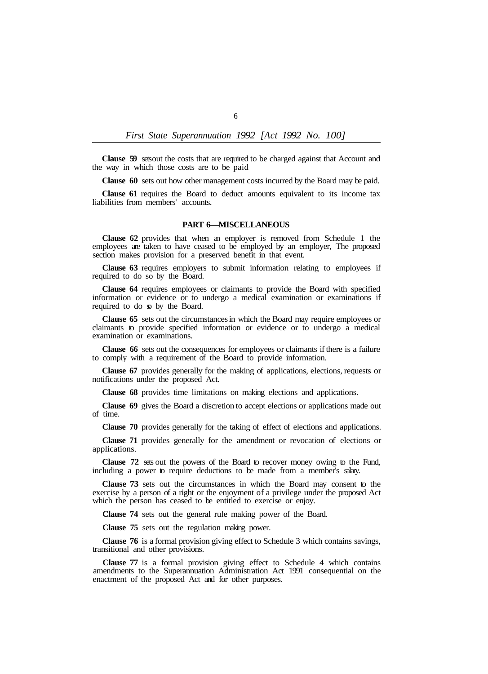**Clause 59** sets out the costs that are required to be charged against that Account and the way in which those costs are to be paid

**Clause 60** sets out how other management costs incurred by the Board may be paid.

**Clause 61** requires the Board to deduct amounts equivalent to its income tax liabilities from members' accounts.

## **PART 6—MISCELLANEOUS**

**Clause 62** provides that when an employer is removed from Schedule 1 the employees are taken to have ceased to be employed by an employer, The proposed section makes provision for a preserved benefit in that event.

**Clause 63** requires employers to submit information relating to employees if required to do so by the Board.

**Clause 64** requires employees or claimants to provide the Board with specified information or evidence or to undergo a medical examination or examinations if required to do so by the Board.

**Clause 65** sets out the circumstances in which the Board may require employees or claimants to provide specified information or evidence or to undergo a medical examination or examinations.

**Clause 66** sets out the consequences for employees or claimants if there is a failure to comply with a requirement of the Board to provide information.

**Clause 67** provides generally for the making of applications, elections, requests or notifications under the proposed Act.

**Clause 68** provides time limitations on making elections and applications.

**Clause 69** gives the Board a discretion to accept elections or applications made out of time.

**Clause 70** provides generally for the taking of effect of elections and applications.

**Clause 71** provides generally for the amendment or revocation of elections or applications.

**Clause 72** sets out the powers of the Board to recover money owing to the Fund, including a power to require deductions to be made from a member's salary.

**Clause 73** sets out the circumstances in which the Board may consent to the exercise by a person of a right or the enjoyment of a privilege under the proposed Act which the person has ceased to be entitled to exercise or enjoy.

**Clause 74** sets out the general rule making power of the Board.

**Clause 75** sets out the regulation making power.

**Clause 76** is a formal provision giving effect to Schedule 3 which contains savings, transitional and other provisions.

**Clause 77** is a formal provision giving effect to Schedule 4 which contains amendments to the Superannuation Administration Act 1991 consequential on the enactment of the proposed Act and for other purposes.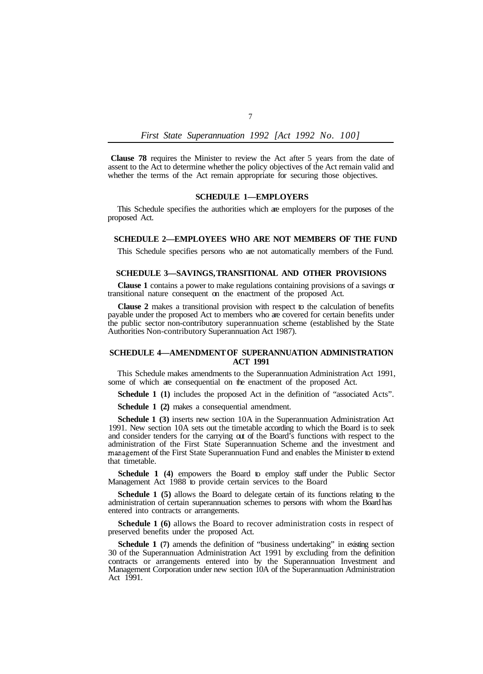**Clause 78** requires the Minister to review the Act after 5 years from the date of assent to the Act to determine whether the policy objectives of the Act remain valid and whether the terms of the Act remain appropriate for securing those objectives.

## **SCHEDULE 1—EMPLOYERS**

This Schedule specifies the authorities which are employers for the purposes of the proposed Act.

### **SCHEDULE 2—EMPLOYEES WHO ARE NOT MEMBERS OF THE FUND**

This Schedule specifies persons who are not automatically members of the Fund.

### **SCHEDULE 3—SAVINGS, TRANSITIONAL AND OTHER PROVISIONS**

**Clause 1** contains a power to make regulations containing provisions of a savings or transitional nature consequent on the enactment of the proposed Act.

**Clause 2** makes a transitional provision with respect to the calculation of benefits payable under the proposed Act to members who are covered for certain benefits under the public sector non-contributory superannuation scheme (established by the State Authorities Non-contributory Superannuation Act 1987).

## **SCHEDULE 4—AMENDMENT OF SUPERANNUATION ADMINISTRATION ACT 1991**

This Schedule makes amendments to the Superannuation Administration Act 1991, some of which are consequential on the enactment of the proposed Act.

**Schedule 1 (1)** includes the proposed Act in the definition of "associated Acts".

**Schedule 1 (2)** makes a consequential amendment.

**Schedule 1 (3)** inserts new section 10A in the Superannuation Administration Act 1991. New section 10A sets out the timetable according to which the Board is to seek and consider tenders for the carrying out of the Board's functions with respect to the administration of the First State Superannuation Scheme and the investment and management of the First State Superannuation Fund and enables the Minister to extend that timetable.

**Schedule 1 (4)** empowers the Board to employ staff under the Public Sector Management Act 1988 to provide certain services to the Board

**Schedule 1 (5)** allows the Board to delegate certain of its functions relating to the administration of certain superannuation schemes to persons with whom the Board has entered into contracts or arrangements.

**Schedule 1 (6)** allows the Board to recover administration costs in respect of preserved benefits under the proposed Act.

Schedule 1 (7) amends the definition of "business undertaking" in existing section 30 of the Superannuation Administration Act 1991 by excluding from the definition contracts or arrangements entered into by the Superannuation Investment and Management Corporation under new section 10A of the Superannuation Administration Act 1991.